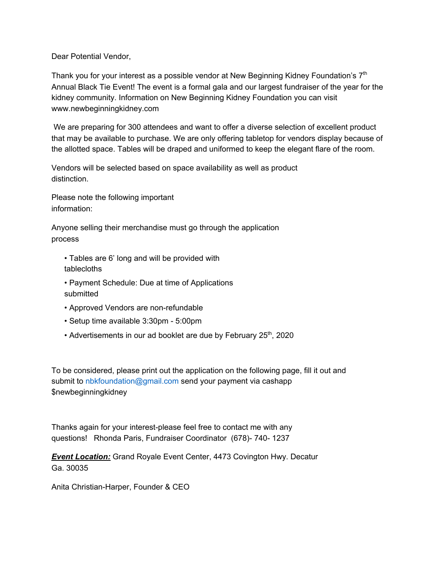Dear Potential Vendor,

Thank you for your interest as a possible vendor at New Beginning Kidney Foundation's  $7<sup>th</sup>$ Annual Black Tie Event! The event is a formal gala and our largest fundraiser of the year for the kidney community. Information on New Beginning Kidney Foundation you can visit www.newbeginningkidney.com

We are preparing for 300 attendees and want to offer a diverse selection of excellent product that may be available to purchase. We are only offering tabletop for vendors display because of the allotted space. Tables will be draped and uniformed to keep the elegant flare of the room.

Vendors will be selected based on space availability as well as product distinction.

Please note the following important information:

Anyone selling their merchandise must go through the application process

• Tables are 6' long and will be provided with tablecloths

- Payment Schedule: Due at time of Applications submitted
- Approved Vendors are non-refundable
- Setup time available 3:30pm 5:00pm
- Advertisements in our ad booklet are due by February 25<sup>th</sup>, 2020

To be considered, please print out the application on the following page, fill it out and submit to nbkfoundation@gmail.com send your payment via cashapp \$newbeginningkidney

Thanks again for your interest-please feel free to contact me with any questions! Rhonda Paris, Fundraiser Coordinator (678)- 740- 1237

*Event Location:* Grand Royale Event Center, 4473 Covington Hwy. Decatur Ga. 30035

Anita Christian-Harper, Founder & CEO